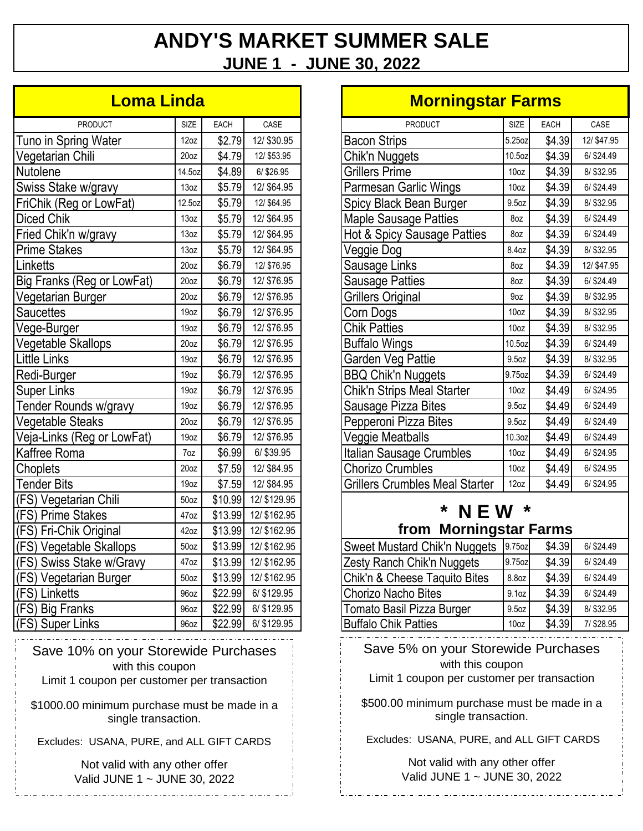# **ANDY'S MARKET SUMMER SALE JUNE 1 - JUNE 30, 2022**

#### **Loma Linda**

| <b>PRODUCT</b>             | <b>SIZE</b>      | <b>EACH</b> | CASE         |
|----------------------------|------------------|-------------|--------------|
| Tuno in Spring Water       | 12oz             | \$2.79      | 12/\$30.95   |
| Vegetarian Chili           | 20 <sub>oz</sub> | \$4.79      | 12/ \$53.95  |
| Nutolene                   | 14.5oz           | \$4.89      | 6/ \$26.95   |
| Swiss Stake w/gravy        | 13oz             | \$5.79      | 12/ \$64.95  |
| FriChik (Reg or LowFat)    | 12.5oz           | \$5.79      | 12/ \$64.95  |
| <b>Diced Chik</b>          | 13oz             | \$5.79      | 12/ \$64.95  |
| Fried Chik'n w/gravy       | 13oz             | \$5.79      | 12/ \$64.95  |
| <b>Prime Stakes</b>        | 13oz             | \$5.79      | 12/ \$64.95  |
| Linketts                   | 20 <sub>oz</sub> | \$6.79      | 12/ \$76.95  |
| Big Franks (Reg or LowFat) | 20 <sub>oz</sub> | \$6.79      | 12/ \$76.95  |
| Vegetarian Burger          | 20 <sub>oz</sub> | \$6.79      | 12/ \$76.95  |
| <b>Saucettes</b>           | 19 <sub>oz</sub> | \$6.79      | 12/ \$76.95  |
| Vege-Burger                | 19 <sub>oz</sub> | \$6.79      | 12/ \$76.95  |
| Vegetable Skallops         | 20 <sub>oz</sub> | \$6.79      | 12/ \$76.95  |
| <b>Little Links</b>        | 19oz             | \$6.79      | 12/ \$76.95  |
| Redi-Burger                | 19oz             | \$6.79      | 12/ \$76.95  |
| <b>Super Links</b>         | 19oz             | \$6.79      | 12/ \$76.95  |
| Tender Rounds w/gravy      | 19oz             | \$6.79      | 12/ \$76.95  |
| Vegetable Steaks           | 20 <sub>oz</sub> | \$6.79      | 12/\$76.95   |
| Veja-Links (Reg or LowFat) | 19oz             | \$6.79      | 12/ \$76.95  |
| Kaffree Roma               | 7oz              | \$6.99      | 6/ \$39.95   |
| Choplets                   | 20 <sub>oz</sub> | \$7.59      | 12/ \$84.95  |
| <b>Tender Bits</b>         | 19oz             | \$7.59      | 12/ \$84.95  |
| (FS) Vegetarian Chili      | 50 <sub>oz</sub> | \$10.99     | 12/ \$129.95 |
| (FS) Prime Stakes          | 47oz             | \$13.99     | 12/ \$162.95 |
| (FS) Fri-Chik Original     | 42oz             | \$13.99     | 12/ \$162.95 |
| (FS) Vegetable Skallops    | 50 <sub>oz</sub> | \$13.99     | 12/ \$162.95 |
| (FS) Swiss Stake w/Gravy   | 47oz             | \$13.99     | 12/ \$162.95 |
| (FS) Vegetarian Burger     | 50 <sub>oz</sub> | \$13.99     | 12/ \$162.95 |
| (FS) Linketts              | 96oz             | \$22.99     | 6/ \$129.95  |
| (FS) Big Franks            | 96oz             | \$22.99     | 6/ \$129.95  |
| (FS) Super Links           | 96oz             | \$22.99     | 6/ \$129.95  |

Save 10% on your Storewide Purchases with this coupon

Limit 1 coupon per customer per transaction

\$1000.00 minimum purchase must be made in a single transaction.

Excludes: USANA, PURE, and ALL GIFT CARDS

Not valid with any other offer Valid JUNE 1 ~ JUNE 30, 2022

#### **Morningstar Farms**

| <b>PRODUCT</b>                        | <b>SIZE</b>       | EACH   | CASE        |  |  |  |
|---------------------------------------|-------------------|--------|-------------|--|--|--|
| <b>Bacon Strips</b>                   | 5.25oz            | \$4.39 | 12/ \$47.95 |  |  |  |
| Chik'n Nuggets                        | 10.5oz            | \$4.39 | 6/ \$24.49  |  |  |  |
| <b>Grillers Prime</b>                 | 10oz              | \$4.39 | 8/ \$32.95  |  |  |  |
| Parmesan Garlic Wings                 | 10oz              | \$4.39 | 6/ \$24.49  |  |  |  |
| Spicy Black Bean Burger               | 9.5 <sub>oz</sub> | \$4.39 | 8/ \$32.95  |  |  |  |
| <b>Maple Sausage Patties</b>          | 8oz               | \$4.39 | 6/ \$24.49  |  |  |  |
| Hot & Spicy Sausage Patties           | 8oz               | \$4.39 | 6/ \$24.49  |  |  |  |
| Veggie Dog                            | 8.4oz             | \$4.39 | 8/\$32.95   |  |  |  |
| Sausage Links                         | 8oz               | \$4.39 | 12/ \$47.95 |  |  |  |
| Sausage Patties                       | 8oz               | \$4.39 | 6/\$24.49   |  |  |  |
| Grillers Original                     | 9oz               | \$4.39 | 8/ \$32.95  |  |  |  |
| Corn Dogs                             | 10oz              | \$4.39 | 8/ \$32.95  |  |  |  |
| <b>Chik Patties</b>                   | 10 <sub>oz</sub>  | \$4.39 | 8/ \$32.95  |  |  |  |
| <b>Buffalo Wings</b>                  | 10.5oz            | \$4.39 | 6/ \$24.49  |  |  |  |
| Garden Veg Pattie                     | 9.5 <sub>oz</sub> | \$4.39 | 8/\$32.95   |  |  |  |
| <b>BBQ Chik'n Nuggets</b>             | 9.75oz            | \$4.39 | 6/ \$24.49  |  |  |  |
| Chik'n Strips Meal Starter            | 10oz              | \$4.49 | 6/ \$24.95  |  |  |  |
| Sausage Pizza Bites                   | 9.5oz             | \$4.49 | 6/\$24.49   |  |  |  |
| Pepperoni Pizza Bites                 | 9.5 <sub>oz</sub> | \$4.49 | 6/ \$24.49  |  |  |  |
| Veggie Meatballs                      | 10.3oz            | \$4.49 | 6/ \$24.49  |  |  |  |
| Italian Sausage Crumbles              | 10 <sub>oz</sub>  | \$4.49 | 6/\$24.95   |  |  |  |
| <b>Chorizo Crumbles</b>               | 10 <sub>oz</sub>  | \$4.49 | 6/\$24.95   |  |  |  |
| <b>Grillers Crumbles Meal Starter</b> | 12oz              | \$4.49 | 6/\$24.95   |  |  |  |
| *<br>*                                |                   |        |             |  |  |  |

# from Morningstar Farms

| <b>Sweet Mustard Chik'n Nuggets</b> | 9.75oz           | \$4.39 | 6/\$24.49  |
|-------------------------------------|------------------|--------|------------|
| Zesty Ranch Chik'n Nuggets          | 9.75oz           | \$4.39 | 6/ \$24.49 |
| Chik'n & Cheese Taquito Bites       | 8.8oz            | \$4.39 | 6/ \$24.49 |
| Chorizo Nacho Bites                 | 9.1oz            | \$4.39 | 6/ \$24.49 |
| Tomato Basil Pizza Burger           | 9.5oz            | \$4.39 | 8/\$32.95  |
| <b>Buffalo Chik Patties</b>         | 10 <sub>oz</sub> | \$4.39 | 7/ \$28.95 |

Save 5% on your Storewide Purchases with this coupon

Limit 1 coupon per customer per transaction

\$500.00 minimum purchase must be made in a single transaction.

Excludes: USANA, PURE, and ALL GIFT CARDS

Not valid with any other offer Valid JUNE 1 ~ JUNE 30, 2022